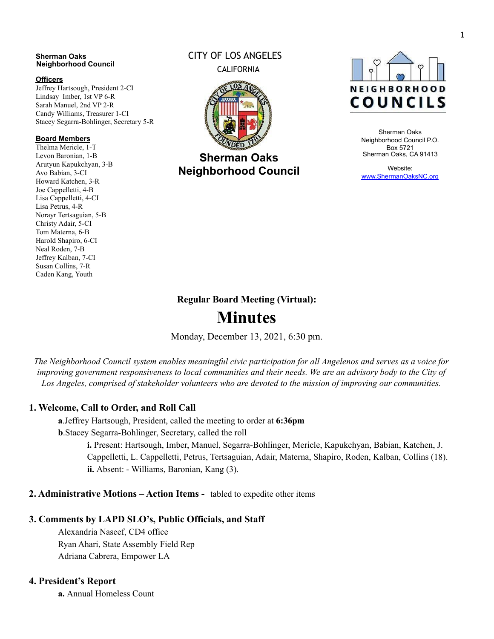#### **Sherman Oaks Neighborhood Council**

#### **Officers**

Jeffrey Hartsough, President 2-CI Lindsay Imber, 1st VP 6-R Sarah Manuel, 2nd VP 2-R Candy Williams, Treasurer 1-CI Stacey Segarra-Bohlinger, Secretary 5-R

#### **Board Members**

Thelma Mericle, 1-T Levon Baronian, 1-B Arutyun Kapukchyan, 3-B Avo Babian, 3-CI Howard Katchen, 3-R Joe Cappelletti, 4-B Lisa Cappelletti, 4-CI Lisa Petrus, 4-R Norayr Tertsaguian, 5-B Christy Adair, 5-CI Tom Materna, 6-B Harold Shapiro, 6-CI Neal Roden, 7-B Jeffrey Kalban, 7-CI Susan Collins, 7-R Caden Kang, Youth

# CITY OF LOS ANGELES CALIFORNIA



**Sherman Oaks Neighborhood Council**



Sherman Oaks Neighborhood Council P.O. Box 5721 Sherman Oaks, CA 91413

Website: [www.ShermanOaksNC.org](http://www.shermanoaksnc.org/)

# **Regular Board Meeting (Virtual):**

# **Minutes**

Monday, December 13, 2021, 6:30 pm.

The Neighborhood Council system enables meaningful civic participation for all Angelenos and serves as a voice for improving government responsiveness to local communities and their needs. We are an advisory body to the City of *Los Angeles, comprised of stakeholder volunteers who are devoted to the mission of improving our communities.*

# **1. Welcome, Call to Order, and Roll Call**

**a**.Jeffrey Hartsough, President, called the meeting to order at **6:36pm b**.Stacey Segarra-Bohlinger, Secretary, called the roll

> **i.** Present: Hartsough, Imber, Manuel, Segarra-Bohlinger, Mericle, Kapukchyan, Babian, Katchen, J. Cappelletti, L. Cappelletti, Petrus, Tertsaguian, Adair, Materna, Shapiro, Roden, Kalban, Collins (18). **ii.** Absent: - Williams, Baronian, Kang (3).

# **2. Administrative Motions – Action Items -** tabled to expedite other items

# **3. Comments by LAPD SLO's, Public Officials, and Staff**

Alexandria Naseef, CD4 office Ryan Ahari, State Assembly Field Rep Adriana Cabrera, Empower LA

# **4. President's Report**

**a.** Annual Homeless Count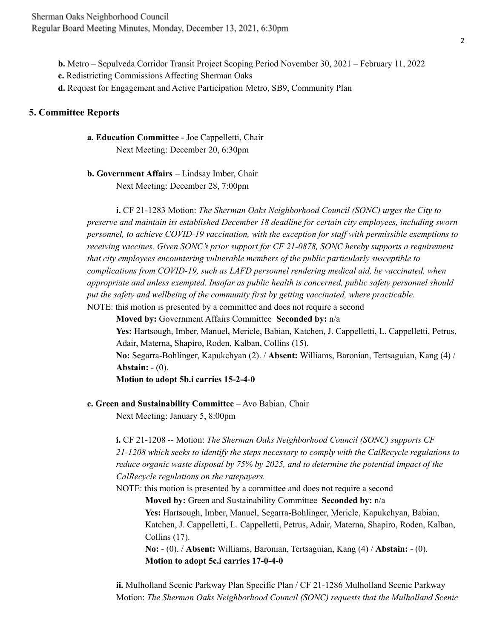**b.** Metro – Sepulveda Corridor Transit Project Scoping Period November 30, 2021 – February 11, 2022

**c.** Redistricting Commissions Affecting Sherman Oaks

**d.** Request for Engagement and Active Participation Metro, SB9, Community Plan

#### **5. Committee Reports**

**a. Education Committee** - Joe Cappelletti, Chair Next Meeting: December 20, 6:30pm

**b. Government Affairs** – Lindsay Imber, Chair Next Meeting: December 28, 7:00pm

**i.** CF 21-1283 Motion: *The Sherman Oaks Neighborhood Council (SONC) urges the City to preserve and maintain its established December 18 deadline for certain city employees, including sworn personnel, to achieve COVID-19 vaccination, with the exception for staf with permissible exemptions to receiving vaccines. Given SONC's prior support for CF 21-0878, SONC hereby supports a requirement that city employees encountering vulnerable members of the public particularly susceptible to complications from COVID-19, such as LAFD personnel rendering medical aid, be vaccinated, when appropriate and unless exempted. Insofar as public health is concerned, public safety personnel should put the safety and wellbeing of the community first by getting vaccinated, where practicable.* NOTE: this motion is presented by a committee and does not require a second

**Moved by:** Government Affairs Committee **Seconded by:** n/a

**Yes:** Hartsough, Imber, Manuel, Mericle, Babian, Katchen, J. Cappelletti, L. Cappelletti, Petrus, Adair, Materna, Shapiro, Roden, Kalban, Collins (15).

**No:** Segarra-Bohlinger, Kapukchyan (2). / **Absent:** Williams, Baronian, Tertsaguian, Kang (4) / **Abstain:** - (0).

**Motion to adopt 5b.i carries 15-2-4-0**

**c. Green and Sustainability Committee** – Avo Babian, Chair

Next Meeting: January 5, 8:00pm

**i.** CF 21-1208 -- Motion: *The Sherman Oaks Neighborhood Council (SONC) supports CF 21-1208 which seeks to identify the steps necessary to comply with the CalRecycle regulations to reduce organic waste disposal by 75% by 2025, and to determine the potential impact of the CalRecycle regulations on the ratepayers.*

NOTE: this motion is presented by a committee and does not require a second

**Moved by:** Green and Sustainability Committee **Seconded by:** n/a **Yes:** Hartsough, Imber, Manuel, Segarra-Bohlinger, Mericle, Kapukchyan, Babian, Katchen, J. Cappelletti, L. Cappelletti, Petrus, Adair, Materna, Shapiro, Roden, Kalban, Collins (17).

**No:** - (0). / **Absent:** Williams, Baronian, Tertsaguian, Kang (4) / **Abstain:** - (0). **Motion to adopt 5c.i carries 17-0-4-0**

**ii.** Mulholland Scenic Parkway Plan Specific Plan / CF 21-1286 Mulholland Scenic Parkway Motion: *The Sherman Oaks Neighborhood Council (SONC) requests that the Mulholland Scenic*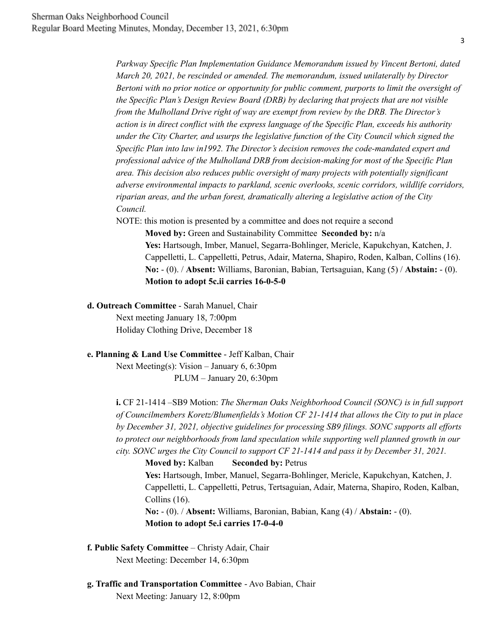*Parkway Specific Plan Implementation Guidance Memorandum issued by Vincent Bertoni, dated March 20, 2021, be rescinded or amended. The memorandum, issued unilaterally by Director Bertoni with no prior notice or opportunity for public comment, purports to limit the oversight of the Specific Plan's Design Review Board (DRB) by declaring that projects that are not visible from the Mulholland Drive right of way are exempt from review by the DRB. The Director's action is in direct conflict with the express language of the Specific Plan, exceeds his authority under the City Charter, and usurps the legislative function of the City Council which signed the Specific Plan into law in1992. The Director's decision removes the code-mandated expert and professional advice of the Mulholland DRB from decision-making for most of the Specific Plan area. This decision also reduces public oversight of many projects with potentially significant adverse environmental impacts to parkland, scenic overlooks, scenic corridors, wildlife corridors, riparian areas, and the urban forest, dramatically altering a legislative action of the City Council.*

NOTE: this motion is presented by a committee and does not require a second

**Moved by:** Green and Sustainability Committee **Seconded by:** n/a **Yes:** Hartsough, Imber, Manuel, Segarra-Bohlinger, Mericle, Kapukchyan, Katchen, J. Cappelletti, L. Cappelletti, Petrus, Adair, Materna, Shapiro, Roden, Kalban, Collins (16). **No:** - (0). / **Absent:** Williams, Baronian, Babian, Tertsaguian, Kang (5) / **Abstain:** - (0). **Motion to adopt 5c.ii carries 16-0-5-0**

#### **d. Outreach Committee** - Sarah Manuel, Chair

Next meeting January 18, 7:00pm Holiday Clothing Drive, December 18

#### **e. Planning & Land Use Committee** - Jeff Kalban, Chair

Next Meeting(s): Vision – January 6, 6:30pm PLUM – January 20, 6:30pm

**i.** CF 21-1414 –SB9 Motion: *The Sherman Oaks Neighborhood Council (SONC) is in full support of Councilmembers Koretz/Blumenfields's Motion CF 21-1414 that allows the City to put in place by December 31, 2021, objective guidelines for processing SB9 filings. SONC supports all ef orts to protect our neighborhoods from land speculation while supporting well planned growth in our city. SONC urges the City Council to support CF 21-1414 and pass it by December 31, 2021.*

**Moved by:** Kalban **Seconded by:** Petrus **Yes:** Hartsough, Imber, Manuel, Segarra-Bohlinger, Mericle, Kapukchyan, Katchen, J. Cappelletti, L. Cappelletti, Petrus, Tertsaguian, Adair, Materna, Shapiro, Roden, Kalban, Collins (16). **No:** - (0). / **Absent:** Williams, Baronian, Babian, Kang (4) / **Abstain:** - (0). **Motion to adopt 5e.i carries 17-0-4-0**

- **f. Public Safety Committee** Christy Adair, Chair Next Meeting: December 14, 6:30pm
- **g. Traffic and Transportation Committee** Avo Babian, Chair Next Meeting: January 12, 8:00pm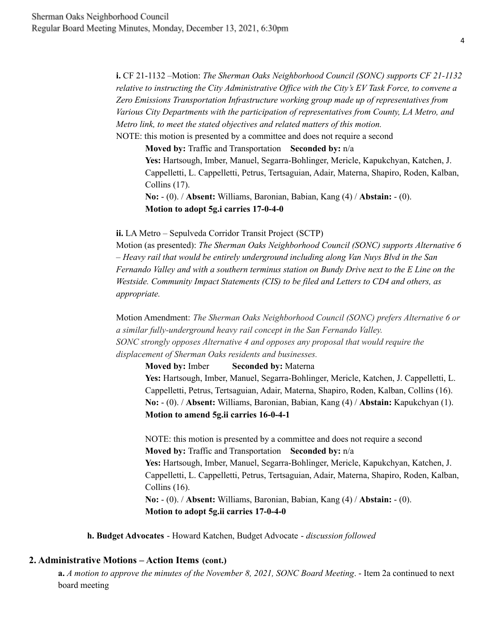**i.** CF 21-1132 –Motion: *The Sherman Oaks Neighborhood Council (SONC) supports CF 21-1132 relative to instructing the City Administrative Of ice with the City's EV Task Force, to convene a Zero Emissions Transportation Infrastructure working group made up of representatives from Various City Departments with the participation of representatives from County, LA Metro, and Metro link, to meet the stated objectives and related matters of this motion.* NOTE: this motion is presented by a committee and does not require a second

**Moved by:** Traffic and Transportation **Seconded by:** n/a **Yes:** Hartsough, Imber, Manuel, Segarra-Bohlinger, Mericle, Kapukchyan, Katchen, J. Cappelletti, L. Cappelletti, Petrus, Tertsaguian, Adair, Materna, Shapiro, Roden, Kalban, Collins (17).

**No:** - (0). / **Absent:** Williams, Baronian, Babian, Kang (4) / **Abstain:** - (0). **Motion to adopt 5g.i carries 17-0-4-0**

#### **ii.** LA Metro – Sepulveda Corridor Transit Project (SCTP)

Motion (as presented): *The Sherman Oaks Neighborhood Council (SONC) supports Alternative 6 – Heavy rail that would be entirely underground including along Van Nuys Blvd in the San Fernando Valley and with a southern terminus station on Bundy Drive next to the E Line on the Westside. Community Impact Statements (CIS) to be filed and Letters to CD4 and others, as appropriate.*

Motion Amendment: *The Sherman Oaks Neighborhood Council (SONC) prefers Alternative 6 or a similar fully-underground heavy rail concept in the San Fernando Valley. SONC strongly opposes Alternative 4 and opposes any proposal that would require the displacement of Sherman Oaks residents and businesses.*

**Moved by:** Imber **Seconded by:** Materna

**Yes:** Hartsough, Imber, Manuel, Segarra-Bohlinger, Mericle, Katchen, J. Cappelletti, L. Cappelletti, Petrus, Tertsaguian, Adair, Materna, Shapiro, Roden, Kalban, Collins (16). **No:** - (0). / **Absent:** Williams, Baronian, Babian, Kang (4) / **Abstain:** Kapukchyan (1). **Motion to amend 5g.ii carries 16-0-4-1**

NOTE: this motion is presented by a committee and does not require a second **Moved by:** Traffic and Transportation **Seconded by:** n/a **Yes:** Hartsough, Imber, Manuel, Segarra-Bohlinger, Mericle, Kapukchyan, Katchen, J. Cappelletti, L. Cappelletti, Petrus, Tertsaguian, Adair, Materna, Shapiro, Roden, Kalban, Collins (16). **No:** - (0). / **Absent:** Williams, Baronian, Babian, Kang (4) / **Abstain:** - (0). **Motion to adopt 5g.ii carries 17-0-4-0**

**h. Budget Advocates** - Howard Katchen, Budget Advocate - *discussion followed*

#### **2. Administrative Motions – Action Items (cont.)**

**a.** *A motion to approve the minutes of the November 8, 2021, SONC Board Meeting*. - Item 2a continued to next board meeting